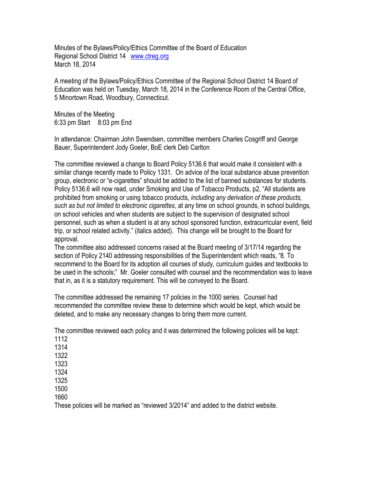Minutes of the Bylaws/Policy/Ethics Committee of the Board of Education Regional School District 14 [www.ctreg.org](http://www.ctreg.org/) March 18, 2014

A meeting of the Bylaws/Policy/Ethics Committee of the Regional School District 14 Board of Education was held on Tuesday, March 18, 2014 in the Conference Room of the Central Office, 5 Minortown Road, Woodbury, Connecticut.

Minutes of the Meeting 6:33 pm Start 8:03 pm End

In attendance: Chairman John Swendsen, committee members Charles Cosgriff and George Bauer, Superintendent Jody Goeler, BoE clerk Deb Carlton

The committee reviewed a change to Board Policy 5136.6 that would make it consistent with a similar change recently made to Policy 1331. On advice of the local substance abuse prevention group, electronic or "e-cigarettes" should be added to the list of banned substances for students. Policy 5136.6 will now read, under Smoking and Use of Tobacco Products, p2, "All students are prohibited from smoking or using tobacco products, *including any derivation of these products, such as but not limited to electronic cigarettes*, at any time on school grounds, in school buildings, on school vehicles and when students are subject to the supervision of designated school personnel, such as when a student is at any school sponsored function, extracurricular event, field trip, or school related activity." (italics added). This change will be brought to the Board for approval.

The committee also addressed concerns raised at the Board meeting of 3/17/14 regarding the section of Policy 2140 addressing responsibilities of the Superintendent which reads, "8. To recommend to the Board for its adoption all courses of study, curriculum guides and textbooks to be used in the schools;" Mr. Goeler consulted with counsel and the recommendation was to leave that in, as it is a statutory requirement. This will be conveyed to the Board.

The committee addressed the remaining 17 policies in the 1000 series. Counsel had recommended the committee review these to determine which would be kept, which would be deleted, and to make any necessary changes to bring them more current.

The committee reviewed each policy and it was determined the following policies will be kept:

1112

1314

1322

1323

1324

1325 1500

1660

These policies will be marked as "reviewed 3/2014" and added to the district website.